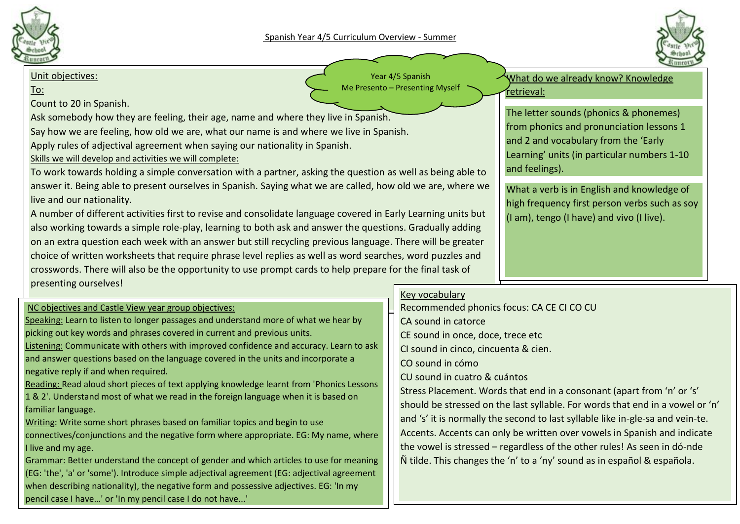



### Unit objectives:

To:

Count to 20 in Spanish.

Ask somebody how they are feeling, their age, name and where they live in Spanish.

Say how we are feeling, how old we are, what our name is and where we live in Spanish.

Apply rules of adjectival agreement when saying our nationality in Spanish.

Skills we will develop and activities we will complete:

To work towards holding a simple conversation with a partner, asking the question as well as being able to answer it. Being able to present ourselves in Spanish. Saying what we are called, how old we are, where we live and our nationality.

A number of different activities first to revise and consolidate language covered in Early Learning units but also working towards a simple role-play, learning to both ask and answer the questions. Gradually adding on an extra question each week with an answer but still recycling previous language. There will be greater choice of written worksheets that require phrase level replies as well as word searches, word puzzles and crosswords. There will also be the opportunity to use prompt cards to help prepare for the final task of presenting ourselves!

# NC objectives and Castle View year group objectives:

Speaking: Learn to listen to longer passages and understand more of what we hear by picking out key words and phrases covered in current and previous units.

Listening: Communicate with others with improved confidence and accuracy. Learn to ask and answer questions based on the language covered in the units and incorporate a negative reply if and when required.

Reading: Read aloud short pieces of text applying knowledge learnt from 'Phonics Lessons 1 & 2'. Understand most of what we read in the foreign language when it is based on familiar language.

Writing: Write some short phrases based on familiar topics and begin to use connectives/conjunctions and the negative form where appropriate. EG: My name, where I live and my age.

Grammar: Better understand the concept of gender and which articles to use for meaning (EG: 'the', 'a' or 'some'). Introduce simple adjectival agreement (EG: adjectival agreement when describing nationality), the negative form and possessive adjectives. EG: 'In my pencil case I have…' or 'In my pencil case I do not have...'

Year 4/5 Spanish Me Presento – Presenting Myself

What do we already know? Knowledge retrieval:

The letter sounds (phonics & phonemes) from phonics and pronunciation lessons 1 and 2 and vocabulary from the 'Early Learning' units (in particular numbers 1-10 and feelings).

What a verb is in English and knowledge of high frequency first person verbs such as soy (I am), tengo (I have) and vivo (I live).

## Key vocabulary

Recommended phonics focus: CA CE CI CO CU CA sound in catorce CE sound in once, doce, trece etc CI sound in cinco, cincuenta & cien. CO sound in cómo CU sound in cuatro & cuántos Stress Placement. Words that end in a consonant (apart from 'n' or 's' should be stressed on the last syllable. For words that end in a vowel or 'n' and 's' it is normally the second to last syllable like in-gle-sa and vein-te. Accents. Accents can only be written over vowels in Spanish and indicate the vowel is stressed – regardless of the other rules! As seen in dó-nde Ñ tilde. This changes the 'n' to a 'ny' sound as in español & española.